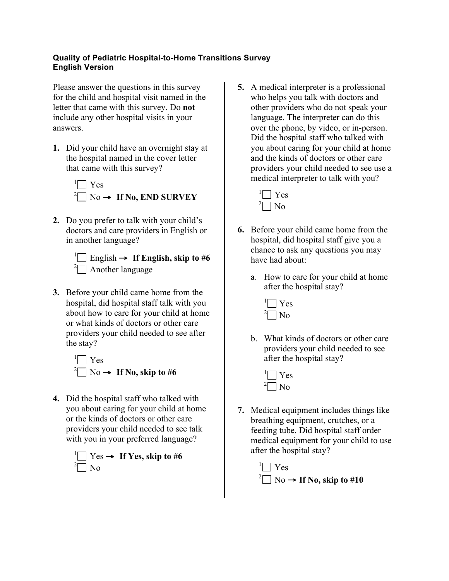## **Quality of Pediatric Hospital-to-Home Transitions Survey English Version**

Please answer the questions in this survey for the child and hospital visit named in the letter that came with this survey. Do **not** include any other hospital visits in your answers.

**1.** Did your child have an overnight stay at the hospital named in the cover letter that came with this survey?



**2.** Do you prefer to talk with your child's doctors and care providers in English or in another language?

 $\frac{1}{2}$  English  $\rightarrow$  If English, skip to #6  $\sqrt[2]{ }$  Another language

**3.** Before your child came home from the hospital, did hospital staff talk with you about how to care for your child at home or what kinds of doctors or other care providers your child needed to see after the stay?

<sup>1</sup> 
$$
\square
$$
 Yes  
<sup>2</sup>  $\square$  No  $\rightarrow$  If No, skip to #6

**4.** Did the hospital staff who talked with you about caring for your child at home or the kinds of doctors or other care providers your child needed to see talk with you in your preferred language?



**5.** A medical interpreter is a professional who helps you talk with doctors and other providers who do not speak your language. The interpreter can do this over the phone, by video, or in-person. Did the hospital staff who talked with you about caring for your child at home and the kinds of doctors or other care providers your child needed to see use a medical interpreter to talk with you?



- **6.** Before your child came home from the hospital, did hospital staff give you a chance to ask any questions you may have had about:
	- a. How to care for your child at home after the hospital stay?



- b. What kinds of doctors or other care providers your child needed to see after the hospital stay?
	- $\Box$  Yes  $\sqrt[2]{\bigcap}$  No
- **7.** Medical equipment includes things like breathing equipment, crutches, or a feeding tube. Did hospital staff order medical equipment for your child to use after the hospital stay?

<sup>1</sup> Yes  $^{2}$  No  $\rightarrow$  **If No, skip to #10**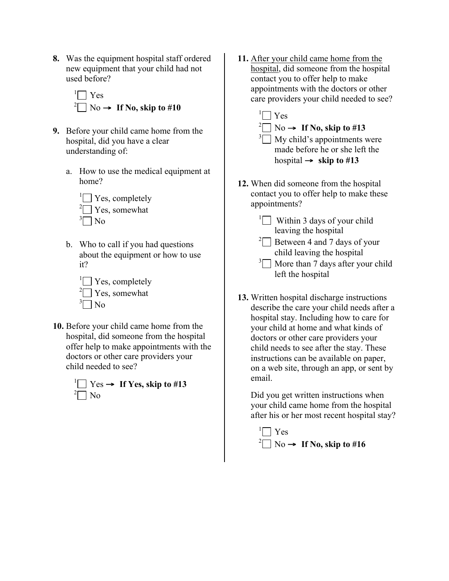**8.** Was the equipment hospital staff ordered new equipment that your child had not used before?



- **9.** Before your child came home from the hospital, did you have a clear understanding of:
	- a. How to use the medical equipment at home?



b. Who to call if you had questions about the equipment or how to use it?



**10.** Before your child came home from the hospital, did someone from the hospital offer help to make appointments with the doctors or other care providers your child needed to see?



**11.** After your child came home from the hospital, did someone from the hospital contact you to offer help to make appointments with the doctors or other care providers your child needed to see?

 $\sqrt[1]{\bigcap}$  Yes

- $^{2}$  No  $\rightarrow$  **If No, skip to #13**  $\sqrt[3]{\phantom{a}}$  My child's appointments were made before he or she left the hospital  $\rightarrow$  **skip to #13**
- **12.** When did someone from the hospital contact you to offer help to make these appointments?
	- <sup>1</sup> Within 3 days of your child leaving the hospital
	- <sup>2</sup> $\Box$  Between 4 and 7 days of your child leaving the hospital
	- $3\Box$  More than 7 days after your child left the hospital
- **13.** Written hospital discharge instructions describe the care your child needs after a hospital stay. Including how to care for your child at home and what kinds of doctors or other care providers your child needs to see after the stay. These instructions can be available on paper, on a web site, through an app, or sent by email.

Did you get written instructions when your child came home from the hospital after his or her most recent hospital stay?

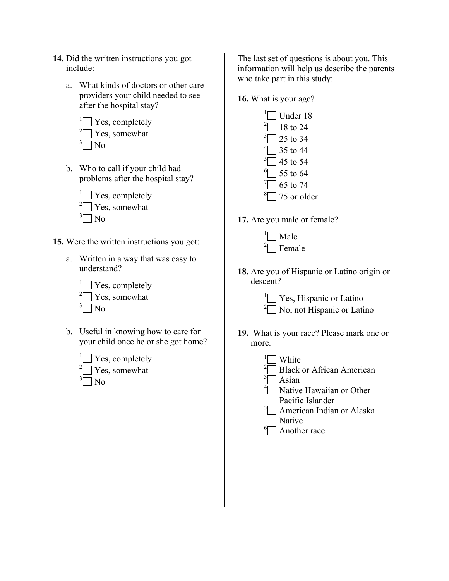- **14.** Did the written instructions you got include:
	- a. What kinds of doctors or other care providers your child needed to see after the hospital stay?
		- $\sqrt[1]{\bigcap}$  Yes, completely  $\sqrt[2]{ }$  Yes, somewhat  $\sqrt[3]{\bigcap}$  No
	- b. Who to call if your child had problems after the hospital stay?
		- $\Box$  Yes, completely <sup>2</sup> $\Box$  Yes, somewhat  $\sqrt[3]{\bigcap}$  No
- **15.** Were the written instructions you got:
	- a. Written in a way that was easy to understand?



- b. Useful in knowing how to care for your child once he or she got home?
	- $\Box$  Yes, completely <sup>2</sup> $\Box$  Yes, somewhat  $\sqrt[3]{\bigcap}$  No

The last set of questions is about you. This information will help us describe the parents who take part in this study:

**16.** What is your age?

| $\Box$ Under 18                      |
|--------------------------------------|
|                                      |
| $2 \Box$ 18 to 24                    |
| $3\sqrt{25}$ to 34                   |
| $^{4}$ 35 to 44                      |
| $\sqrt[5]{}$ 45 to 54                |
| $\degree$ 55 to 64                   |
| $\sqrt{165}$ to 74                   |
| $\sqrt[8]{\hspace{1cm}}$ 75 or older |
|                                      |

**17.** Are you male or female?

| Male                 |
|----------------------|
| $\sqrt[2]{ }$ Female |

**18.** Are you of Hispanic or Latino origin or descent?

> <sup>1</sup> $\Box$  Yes, Hispanic or Latino  $2\Box$  No, not Hispanic or Latino

**19.** What is your race? Please mark one or more.